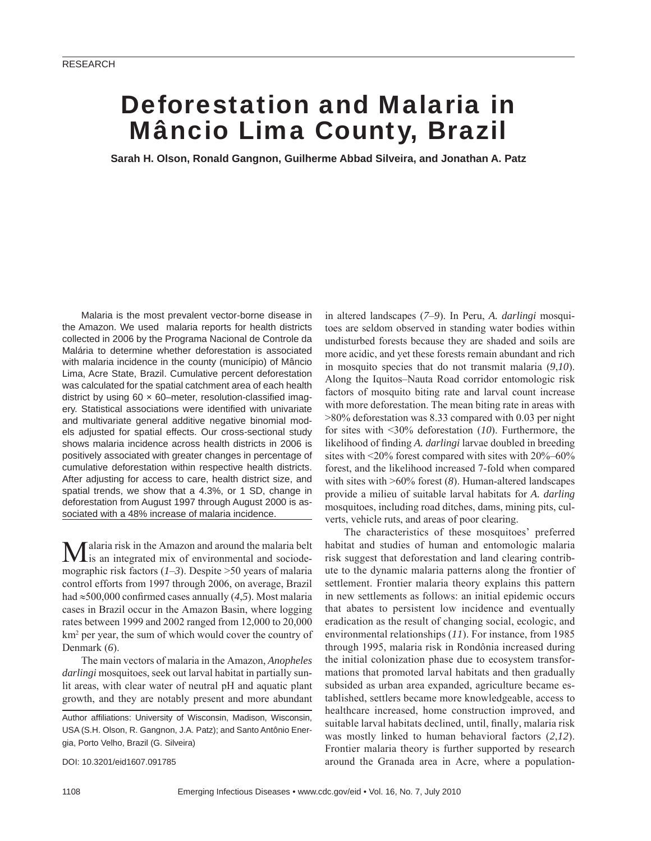# Deforestation and Malaria in Mâncio Lima County, Brazil

**Sarah H. Olson, Ronald Gangnon, Guilherme Abbad Silveira, and Jonathan A. Patz**

Malaria is the most prevalent vector-borne disease in the Amazon. We used malaria reports for health districts collected in 2006 by the Programa Nacional de Controle da Malária to determine whether deforestation is associated with malaria incidence in the county (município) of Mâncio Lima, Acre State, Brazil. Cumulative percent deforestation was calculated for the spatial catchment area of each health district by using  $60 \times 60$ -meter, resolution-classified imagery. Statistical associations were identified with univariate and multivariate general additive negative binomial models adjusted for spatial effects. Our cross-sectional study shows malaria incidence across health districts in 2006 is positively associated with greater changes in percentage of cumulative deforestation within respective health districts. After adjusting for access to care, health district size, and spatial trends, we show that a 4.3%, or 1 SD, change in deforestation from August 1997 through August 2000 is associated with a 48% increase of malaria incidence.

 $M$ alaria risk in the Amazon and around the malaria belt is an integrated mix of environmental and sociodemographic risk factors (*1*–*3*). Despite >50 years of malaria control efforts from 1997 through 2006, on average, Brazil had  $\approx$ 500,000 confirmed cases annually (4,5). Most malaria cases in Brazil occur in the Amazon Basin, where logging rates between 1999 and 2002 ranged from 12,000 to 20,000 km<sup>2</sup> per year, the sum of which would cover the country of Denmark (*6*).

The main vectors of malaria in the Amazon, *Anopheles darlingi* mosquitoes, seek out larval habitat in partially sunlit areas, with clear water of neutral pH and aquatic plant growth, and they are notably present and more abundant

DOI: 10.3201/eid1607.091785

in altered landscapes (*7*–*9*). In Peru, *A. darlingi* mosquitoes are seldom observed in standing water bodies within undisturbed forests because they are shaded and soils are more acidic, and yet these forests remain abundant and rich in mosquito species that do not transmit malaria (*9*,*10*). Along the Iquitos–Nauta Road corridor entomologic risk factors of mosquito biting rate and larval count increase with more deforestation. The mean biting rate in areas with >80% deforestation was 8.33 compared with 0.03 per night for sites with <30% deforestation (*10*). Furthermore, the likelihood of finding *A. darlingi* larvae doubled in breeding sites with <20% forest compared with sites with 20%–60% forest, and the likelihood increased 7-fold when compared with sites with >60% forest (*8*). Human-altered landscapes provide a milieu of suitable larval habitats for *A. darling*  mosquitoes, including road ditches, dams, mining pits, culverts, vehicle ruts, and areas of poor clearing.

The characteristics of these mosquitoes' preferred habitat and studies of human and entomologic malaria risk suggest that deforestation and land clearing contribute to the dynamic malaria patterns along the frontier of settlement. Frontier malaria theory explains this pattern in new settlements as follows: an initial epidemic occurs that abates to persistent low incidence and eventually eradication as the result of changing social, ecologic, and environmental relationships (*11*). For instance, from 1985 through 1995, malaria risk in Rondônia increased during the initial colonization phase due to ecosystem transformations that promoted larval habitats and then gradually subsided as urban area expanded, agriculture became established, settlers became more knowledgeable, access to healthcare increased, home construction improved, and suitable larval habitats declined, until, finally, malaria risk was mostly linked to human behavioral factors (*2*,*12*). Frontier malaria theory is further supported by research around the Granada area in Acre, where a population-

Author affiliations: University of Wisconsin, Madison, Wisconsin, USA (S.H. Olson, R. Gangnon, J.A. Patz); and Santo Antônio Energia, Porto Velho, Brazil (G. Silveira)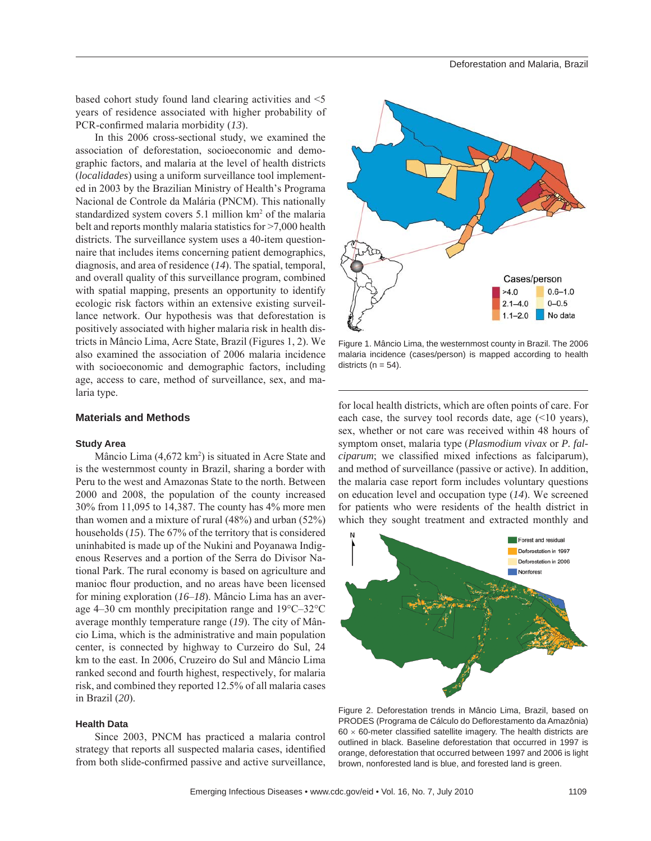based cohort study found land clearing activities and <5 years of residence associated with higher probability of PCR-confirmed malaria morbidity (13).

In this 2006 cross-sectional study, we examined the association of deforestation, socioeconomic and demographic factors, and malaria at the level of health districts (*localidades*) using a uniform surveillance tool implemented in 2003 by the Brazilian Ministry of Health's Programa Nacional de Controle da Malária (PNCM). This nationally standardized system covers 5.1 million km<sup>2</sup> of the malaria belt and reports monthly malaria statistics for >7,000 health districts. The surveillance system uses a 40-item questionnaire that includes items concerning patient demographics, diagnosis, and area of residence (*14*). The spatial, temporal, and overall quality of this surveillance program, combined with spatial mapping, presents an opportunity to identify ecologic risk factors within an extensive existing surveillance network. Our hypothesis was that deforestation is positively associated with higher malaria risk in health districts in Mâncio Lima, Acre State, Brazil (Figures 1, 2). We also examined the association of 2006 malaria incidence with socioeconomic and demographic factors, including age, access to care, method of surveillance, sex, and malaria type.

#### **Materials and Methods**

#### **Study Area**

Mâncio Lima  $(4,672 \text{ km}^2)$  is situated in Acre State and is the westernmost county in Brazil, sharing a border with Peru to the west and Amazonas State to the north. Between 2000 and 2008, the population of the county increased 30% from 11,095 to 14,387. The county has 4% more men than women and a mixture of rural (48%) and urban (52%) households (*15*). The 67% of the territory that is considered uninhabited is made up of the Nukini and Poyanawa Indigenous Reserves and a portion of the Serra do Divisor National Park. The rural economy is based on agriculture and manioc flour production, and no areas have been licensed for mining exploration (*16*–*18*). Mâncio Lima has an average 4–30 cm monthly precipitation range and 19°C–32°C average monthly temperature range (*19*). The city of Mâncio Lima, which is the administrative and main population center, is connected by highway to Curzeiro do Sul, 24 km to the east. In 2006, Cruzeiro do Sul and Mâncio Lima ranked second and fourth highest, respectively, for malaria risk, and combined they reported 12.5% of all malaria cases in Brazil (*20*).

# **Health Data**

Since 2003, PNCM has practiced a malaria control strategy that reports all suspected malaria cases, identified from both slide-confirmed passive and active surveillance,



Figure 1. Mâncio Lima, the westernmost county in Brazil. The 2006 malaria incidence (cases/person) is mapped according to health districts ( $n = 54$ ).

for local health districts, which are often points of care. For each case, the survey tool records date, age (<10 years), sex, whether or not care was received within 48 hours of symptom onset, malaria type (*Plasmodium vivax* or *P. falciparum*; we classified mixed infections as falciparum), and method of surveillance (passive or active). In addition, the malaria case report form includes voluntary questions on education level and occupation type (*14*). We screened for patients who were residents of the health district in which they sought treatment and extracted monthly and



Figure 2. Deforestation trends in Mâncio Lima, Brazil, based on PRODES (Programa de Cálculo do Deflorestamento da Amazônia)  $60 \times 60$ -meter classified satellite imagery. The health districts are outlined in black. Baseline deforestation that occurred in 1997 is orange, deforestation that occurred between 1997 and 2006 is light brown, nonforested land is blue, and forested land is green.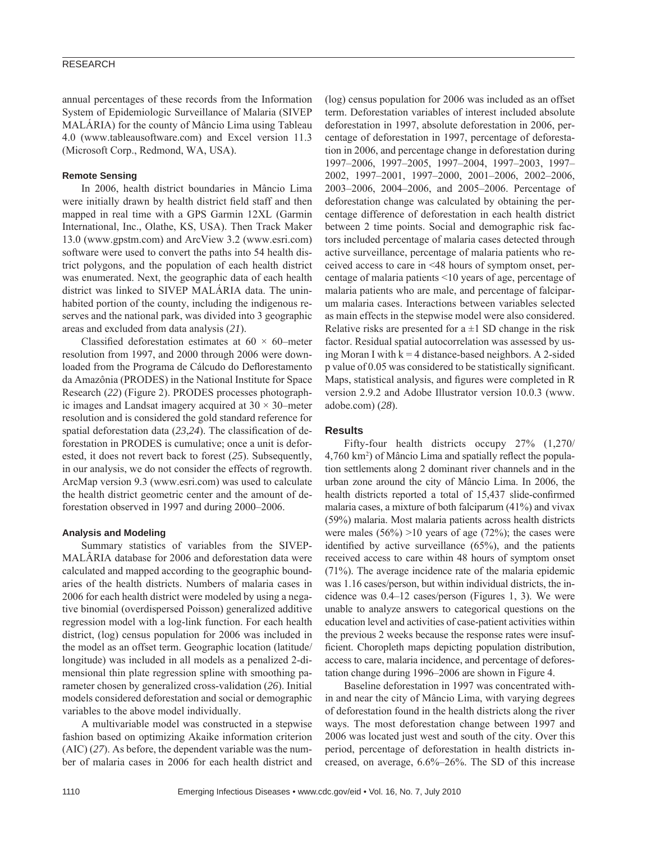# RESEARCH

annual percentages of these records from the Information System of Epidemiologic Surveillance of Malaria (SIVEP MALÁRIA) for the county of Mâncio Lima using Tableau 4.0 (www.tableausoftware.com) and Excel version 11.3 (Microsoft Corp., Redmond, WA, USA).

### **Remote Sensing**

In 2006, health district boundaries in Mâncio Lima were initially drawn by health district field staff and then mapped in real time with a GPS Garmin 12XL (Garmin International, Inc., Olathe, KS, USA). Then Track Maker 13.0 (www.gpstm.com) and ArcView 3.2 (www.esri.com) software were used to convert the paths into 54 health district polygons, and the population of each health district was enumerated. Next, the geographic data of each health district was linked to SIVEP MALÁRIA data. The uninhabited portion of the county, including the indigenous reserves and the national park, was divided into 3 geographic areas and excluded from data analysis (*21*).

Classified deforestation estimates at  $60 \times 60$ –meter resolution from 1997, and 2000 through 2006 were downloaded from the Programa de Cálcudo do Deflorestamento da Amazônia (PRODES) in the National Institute for Space Research (*22*) (Figure 2). PRODES processes photographic images and Landsat imagery acquired at  $30 \times 30$ –meter resolution and is considered the gold standard reference for spatial deforestation data  $(23,24)$ . The classification of deforestation in PRODES is cumulative; once a unit is deforested, it does not revert back to forest (*25*). Subsequently, in our analysis, we do not consider the effects of regrowth. ArcMap version 9.3 (www.esri.com) was used to calculate the health district geometric center and the amount of deforestation observed in 1997 and during 2000–2006.

#### **Analysis and Modeling**

Summary statistics of variables from the SIVEP-MALÂRIA database for 2006 and deforestation data were calculated and mapped according to the geographic boundaries of the health districts. Numbers of malaria cases in 2006 for each health district were modeled by using a negative binomial (overdispersed Poisson) generalized additive regression model with a log-link function. For each health district, (log) census population for 2006 was included in the model as an offset term. Geographic location (latitude/ longitude) was included in all models as a penalized 2-dimensional thin plate regression spline with smoothing parameter chosen by generalized cross-validation (*26*). Initial models considered deforestation and social or demographic variables to the above model individually.

A multivariable model was constructed in a stepwise fashion based on optimizing Akaike information criterion (AIC) (*27*). As before, the dependent variable was the number of malaria cases in 2006 for each health district and (log) census population for 2006 was included as an offset term. Deforestation variables of interest included absolute deforestation in 1997, absolute deforestation in 2006, percentage of deforestation in 1997, percentage of deforestation in 2006, and percentage change in deforestation during 1997–2006, 1997–2005, 1997–2004, 1997–2003, 1997– 2002, 1997–2001, 1997–2000, 2001–2006, 2002–2006, 2003–2006, 2004–2006, and 2005–2006. Percentage of deforestation change was calculated by obtaining the percentage difference of deforestation in each health district between 2 time points. Social and demographic risk factors included percentage of malaria cases detected through active surveillance, percentage of malaria patients who received access to care in <48 hours of symptom onset, percentage of malaria patients <10 years of age, percentage of malaria patients who are male, and percentage of falciparum malaria cases. Interactions between variables selected as main effects in the stepwise model were also considered. Relative risks are presented for  $a \pm 1$  SD change in the risk factor. Residual spatial autocorrelation was assessed by using Moran I with  $k = 4$  distance-based neighbors. A 2-sided p value of 0.05 was considered to be statistically significant. Maps, statistical analysis, and figures were completed in R version 2.9.2 and Adobe Illustrator version 10.0.3 (www. adobe.com) (*28*).

#### **Results**

Fifty-four health districts occupy 27% (1,270/ 4,760 km<sup>2</sup>) of Mâncio Lima and spatially reflect the population settlements along 2 dominant river channels and in the urban zone around the city of Mâncio Lima. In 2006, the health districts reported a total of 15,437 slide-confirmed malaria cases, a mixture of both falciparum (41%) and vivax (59%) malaria. Most malaria patients across health districts were males  $(56\%) > 10$  years of age  $(72\%)$ ; the cases were identified by active surveillance  $(65%)$ , and the patients received access to care within 48 hours of symptom onset (71%). The average incidence rate of the malaria epidemic was 1.16 cases/person, but within individual districts, the incidence was 0.4–12 cases/person (Figures 1, 3). We were unable to analyze answers to categorical questions on the education level and activities of case-patient activities within the previous 2 weeks because the response rates were insufficient. Choropleth maps depicting population distribution, access to care, malaria incidence, and percentage of deforestation change during 1996–2006 are shown in Figure 4.

Baseline deforestation in 1997 was concentrated within and near the city of Mâncio Lima, with varying degrees of deforestation found in the health districts along the river ways. The most deforestation change between 1997 and 2006 was located just west and south of the city. Over this period, percentage of deforestation in health districts increased, on average, 6.6%–26%. The SD of this increase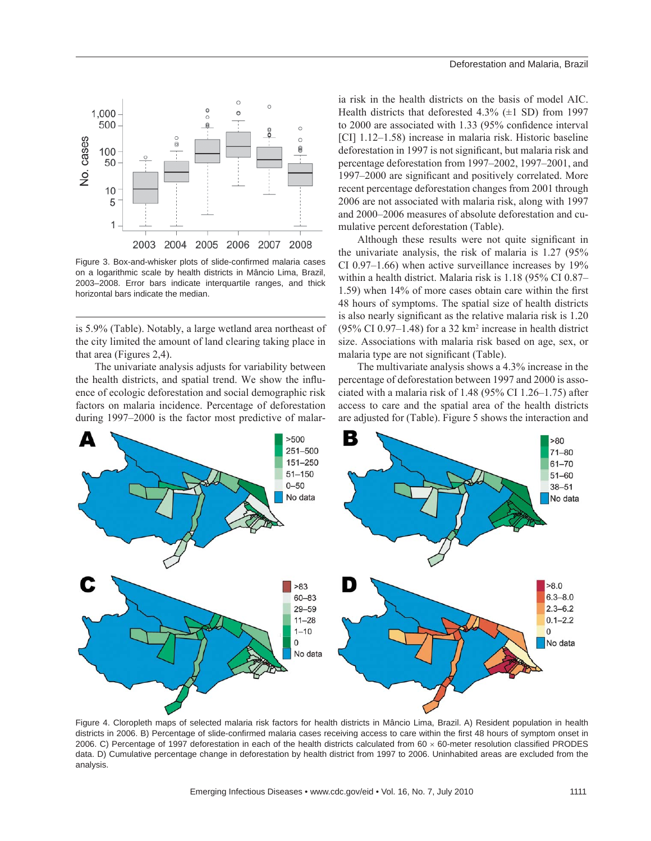

Figure 3. Box-and-whisker plots of slide-confirmed malaria cases on a logarithmic scale by health districts in Mâncio Lima, Brazil, 2003–2008. Error bars indicate interquartile ranges, and thick horizontal bars indicate the median.

is 5.9% (Table). Notably, a large wetland area northeast of the city limited the amount of land clearing taking place in that area (Figures 2,4).

The univariate analysis adjusts for variability between the health districts, and spatial trend. We show the influence of ecologic deforestation and social demographic risk factors on malaria incidence. Percentage of deforestation during 1997–2000 is the factor most predictive of malaria risk in the health districts on the basis of model AIC. Health districts that deforested  $4.3\%$  ( $\pm 1$  SD) from 1997 to 2000 are associated with 1.33 (95% confidence interval [CI] 1.12–1.58) increase in malaria risk. Historic baseline deforestation in 1997 is not significant, but malaria risk and percentage deforestation from 1997–2002, 1997–2001, and 1997–2000 are significant and positively correlated. More recent percentage deforestation changes from 2001 through 2006 are not associated with malaria risk, along with 1997 and 2000–2006 measures of absolute deforestation and cumulative percent deforestation (Table).

Although these results were not quite significant in the univariate analysis, the risk of malaria is 1.27 (95% CI 0.97–1.66) when active surveillance increases by 19% within a health district. Malaria risk is 1.18 (95% CI 0.87–  $1.59$ ) when  $14\%$  of more cases obtain care within the first 48 hours of symptoms. The spatial size of health districts is also nearly significant as the relative malaria risk is 1.20  $(95\% \text{ CI } 0.97-1.48)$  for a 32 km<sup>2</sup> increase in health district size. Associations with malaria risk based on age, sex, or malaria type are not significant (Table).

The multivariate analysis shows a 4.3% increase in the percentage of deforestation between 1997 and 2000 is associated with a malaria risk of 1.48 (95% CI 1.26–1.75) after access to care and the spatial area of the health districts are adjusted for (Table). Figure 5 shows the interaction and



Figure 4. Cloropleth maps of selected malaria risk factors for health districts in Mâncio Lima, Brazil. A) Resident population in health districts in 2006. B) Percentage of slide-confirmed malaria cases receiving access to care within the first 48 hours of symptom onset in 2006. C) Percentage of 1997 deforestation in each of the health districts calculated from  $60 \times 60$ -meter resolution classified PRODES data. D) Cumulative percentage change in deforestation by health district from 1997 to 2006. Uninhabited areas are excluded from the analysis.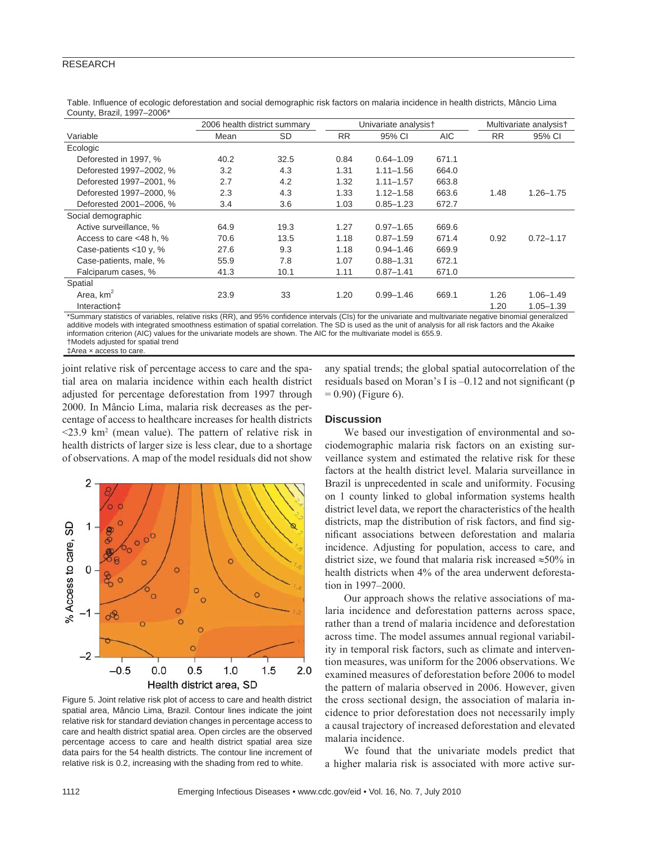# RESEARCH

| $\frac{1}{2}$             |                              |      |                      |               |            |                        |               |
|---------------------------|------------------------------|------|----------------------|---------------|------------|------------------------|---------------|
|                           | 2006 health district summary |      | Univariate analysis† |               |            | Multivariate analysist |               |
| Variable                  | Mean                         | SD   | <b>RR</b>            | 95% CI        | <b>AIC</b> | <b>RR</b>              | 95% CI        |
| Ecologic                  |                              |      |                      |               |            |                        |               |
| Deforested in 1997, %     | 40.2                         | 32.5 | 0.84                 | $0.64 - 1.09$ | 671.1      |                        |               |
| Deforested 1997-2002. %   | 3.2                          | 4.3  | 1.31                 | $1.11 - 1.56$ | 664.0      |                        |               |
| Deforested 1997-2001, %   | 2.7                          | 4.2  | 1.32                 | $1.11 - 1.57$ | 663.8      |                        |               |
| Deforested 1997-2000, %   | 2.3                          | 4.3  | 1.33                 | $1.12 - 1.58$ | 663.6      | 1.48                   | $1.26 - 1.75$ |
| Deforested 2001-2006, %   | 3.4                          | 3.6  | 1.03                 | $0.85 - 1.23$ | 672.7      |                        |               |
| Social demographic        |                              |      |                      |               |            |                        |               |
| Active surveillance, %    | 64.9                         | 19.3 | 1.27                 | $0.97 - 1.65$ | 669.6      |                        |               |
| Access to care <48 h, %   | 70.6                         | 13.5 | 1.18                 | $0.87 - 1.59$ | 671.4      | 0.92                   | $0.72 - 1.17$ |
| Case-patients $<$ 10 y, % | 27.6                         | 9.3  | 1.18                 | $0.94 - 1.46$ | 669.9      |                        |               |
| Case-patients, male, %    | 55.9                         | 7.8  | 1.07                 | $0.88 - 1.31$ | 672.1      |                        |               |
| Falciparum cases, %       | 41.3                         | 10.1 | 1.11                 | $0.87 - 1.41$ | 671.0      |                        |               |
| Spatial                   |                              |      |                      |               |            |                        |               |
| Area, $km2$               | 23.9                         | 33   | 1.20                 | $0.99 - 1.46$ | 669.1      | 1.26                   | $1.06 - 1.49$ |
| Interaction‡              |                              |      |                      |               |            | 1.20                   | $1.05 - 1.39$ |

Table. Influence of ecologic deforestation and social demographic risk factors on malaria incidence in health districts, Mâncio Lima County, Brazil, 1997–2006\*

\*Summary statistics of variables, relative risks (RR), and 95% confidence intervals (CIs) for the univariate and multivariate negative binomial generalized additive models with integrated smoothness estimation of spatial correlation. The SD is used as the unit of analysis for all risk factors and the Akaike information criterion (AIC) values for the univariate models are shown. The AIC for the multivariate model is 655.9. †Models adjusted for spatial trend

‡Area × access to care.

joint relative risk of percentage access to care and the spatial area on malaria incidence within each health district adjusted for percentage deforestation from 1997 through 2000. In Mâncio Lima, malaria risk decreases as the percentage of access to healthcare increases for health districts  $\leq$ 23.9 km<sup>2</sup> (mean value). The pattern of relative risk in health districts of larger size is less clear, due to a shortage of observations. A map of the model residuals did not show



Figure 5. Joint relative risk plot of access to care and health district spatial area, Mâncio Lima, Brazil. Contour lines indicate the joint relative risk for standard deviation changes in percentage access to care and health district spatial area. Open circles are the observed percentage access to care and health district spatial area size data pairs for the 54 health districts. The contour line increment of relative risk is 0.2, increasing with the shading from red to white.

any spatial trends; the global spatial autocorrelation of the residuals based on Moran's I is  $-0.12$  and not significant (p  $= 0.90$ ) (Figure 6).

# **Discussion**

We based our investigation of environmental and sociodemographic malaria risk factors on an existing surveillance system and estimated the relative risk for these factors at the health district level. Malaria surveillance in Brazil is unprecedented in scale and uniformity. Focusing on 1 county linked to global information systems health district level data, we report the characteristics of the health districts, map the distribution of risk factors, and find significant associations between deforestation and malaria incidence. Adjusting for population, access to care, and district size, we found that malaria risk increased  $\approx$ 50% in health districts when 4% of the area underwent deforestation in 1997–2000.

Our approach shows the relative associations of malaria incidence and deforestation patterns across space, rather than a trend of malaria incidence and deforestation across time. The model assumes annual regional variability in temporal risk factors, such as climate and intervention measures, was uniform for the 2006 observations. We examined measures of deforestation before 2006 to model the pattern of malaria observed in 2006. However, given the cross sectional design, the association of malaria incidence to prior deforestation does not necessarily imply a causal trajectory of increased deforestation and elevated malaria incidence.

We found that the univariate models predict that a higher malaria risk is associated with more active sur-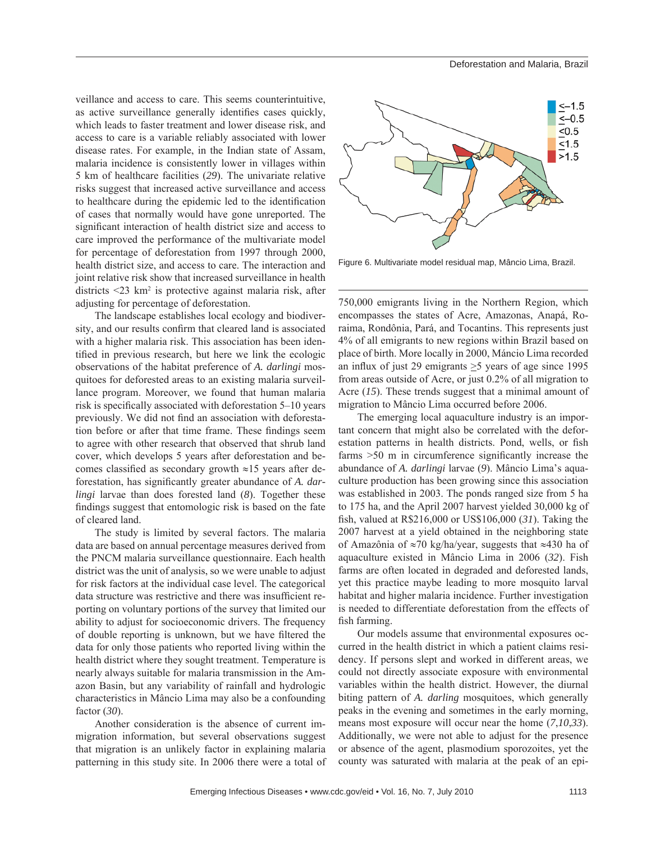veillance and access to care. This seems counterintuitive, as active surveillance generally identifies cases quickly, which leads to faster treatment and lower disease risk, and access to care is a variable reliably associated with lower disease rates. For example, in the Indian state of Assam, malaria incidence is consistently lower in villages within 5 km of healthcare facilities (*29*). The univariate relative risks suggest that increased active surveillance and access to healthcare during the epidemic led to the identification of cases that normally would have gone unreported. The significant interaction of health district size and access to care improved the performance of the multivariate model for percentage of deforestation from 1997 through 2000, health district size, and access to care. The interaction and joint relative risk show that increased surveillance in health districts <23 km<sup>2</sup> is protective against malaria risk, after adjusting for percentage of deforestation.

The landscape establishes local ecology and biodiversity, and our results confirm that cleared land is associated with a higher malaria risk. This association has been identified in previous research, but here we link the ecologic observations of the habitat preference of *A. darlingi* mosquitoes for deforested areas to an existing malaria surveillance program. Moreover, we found that human malaria risk is specifically associated with deforestation  $5-10$  years previously. We did not find an association with deforestation before or after that time frame. These findings seem to agree with other research that observed that shrub land cover, which develops 5 years after deforestation and becomes classified as secondary growth  $\approx$ 15 years after deforestation, has significantly greater abundance of *A. darlingi* larvae than does forested land (*8*). Together these findings suggest that entomologic risk is based on the fate of cleared land.

The study is limited by several factors. The malaria data are based on annual percentage measures derived from the PNCM malaria surveillance questionnaire. Each health district was the unit of analysis, so we were unable to adjust for risk factors at the individual case level. The categorical data structure was restrictive and there was insufficient reporting on voluntary portions of the survey that limited our ability to adjust for socioeconomic drivers. The frequency of double reporting is unknown, but we have filtered the data for only those patients who reported living within the health district where they sought treatment. Temperature is nearly always suitable for malaria transmission in the Amazon Basin, but any variability of rainfall and hydrologic characteristics in Mâncio Lima may also be a confounding factor (*30*).

Another consideration is the absence of current immigration information, but several observations suggest that migration is an unlikely factor in explaining malaria patterning in this study site. In 2006 there were a total of



Figure 6. Multivariate model residual map, Mâncio Lima, Brazil.

750,000 emigrants living in the Northern Region, which encompasses the states of Acre, Amazonas, Anapá, Roraima, Rondônia, Pará, and Tocantins. This represents just 4% of all emigrants to new regions within Brazil based on place of birth. More locally in 2000, Máncio Lima recorded an influx of just 29 emigrants  $\geq$ 5 years of age since 1995 from areas outside of Acre, or just 0.2% of all migration to Acre (*15*). These trends suggest that a minimal amount of migration to Mâncio Lima occurred before 2006.

The emerging local aquaculture industry is an important concern that might also be correlated with the deforestation patterns in health districts. Pond, wells, or fish farms  $>50$  m in circumference significantly increase the abundance of *A. darlingi* larvae (*9*). Mâncio Lima's aquaculture production has been growing since this association was established in 2003. The ponds ranged size from 5 ha to 175 ha, and the April 2007 harvest yielded 30,000 kg of fish, valued at R\$216,000 or US\$106,000 (31). Taking the 2007 harvest at a yield obtained in the neighboring state of Amazônia of ≈70 kg/ha/year, suggests that ≈430 ha of aquaculture existed in Mâncio Lima in 2006 (*32*). Fish farms are often located in degraded and deforested lands, yet this practice maybe leading to more mosquito larval habitat and higher malaria incidence. Further investigation is needed to differentiate deforestation from the effects of fish farming.

Our models assume that environmental exposures occurred in the health district in which a patient claims residency. If persons slept and worked in different areas, we could not directly associate exposure with environmental variables within the health district. However, the diurnal biting pattern of *A. darling* mosquitoes, which generally peaks in the evening and sometimes in the early morning, means most exposure will occur near the home (*7*,*10*,*33*). Additionally, we were not able to adjust for the presence or absence of the agent, plasmodium sporozoites, yet the county was saturated with malaria at the peak of an epi-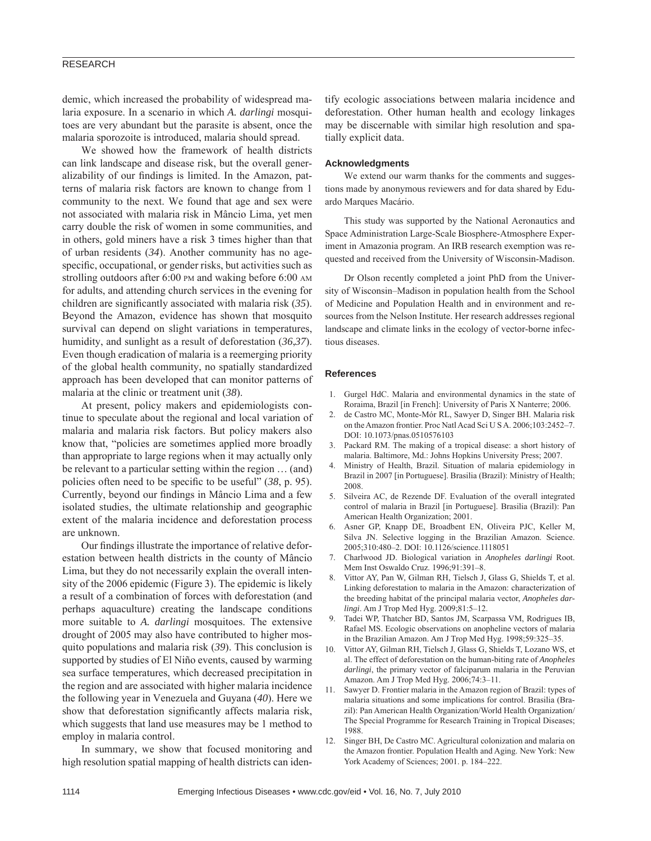# RESEARCH

demic, which increased the probability of widespread malaria exposure. In a scenario in which *A. darlingi* mosquitoes are very abundant but the parasite is absent, once the malaria sporozoite is introduced, malaria should spread.

We showed how the framework of health districts can link landscape and disease risk, but the overall generalizability of our findings is limited. In the Amazon, patterns of malaria risk factors are known to change from 1 community to the next. We found that age and sex were not associated with malaria risk in Mâncio Lima, yet men carry double the risk of women in some communities, and in others, gold miners have a risk 3 times higher than that of urban residents (*34*). Another community has no agespecific, occupational, or gender risks, but activities such as strolling outdoors after 6:00 PM and waking before 6:00 AM for adults, and attending church services in the evening for children are significantly associated with malaria risk (35). Beyond the Amazon, evidence has shown that mosquito survival can depend on slight variations in temperatures, humidity, and sunlight as a result of deforestation (*36*,*37*). Even though eradication of malaria is a reemerging priority of the global health community, no spatially standardized approach has been developed that can monitor patterns of malaria at the clinic or treatment unit (*38*).

At present, policy makers and epidemiologists continue to speculate about the regional and local variation of malaria and malaria risk factors. But policy makers also know that, "policies are sometimes applied more broadly than appropriate to large regions when it may actually only be relevant to a particular setting within the region … (and) policies often need to be specific to be useful" (38, p. 95). Currently, beyond our findings in Mâncio Lima and a few isolated studies, the ultimate relationship and geographic extent of the malaria incidence and deforestation process are unknown.

Our findings illustrate the importance of relative deforestation between health districts in the county of Mâncio Lima, but they do not necessarily explain the overall intensity of the 2006 epidemic (Figure 3). The epidemic is likely a result of a combination of forces with deforestation (and perhaps aquaculture) creating the landscape conditions more suitable to *A. darlingi* mosquitoes. The extensive drought of 2005 may also have contributed to higher mosquito populations and malaria risk (*39*). This conclusion is supported by studies of El Niño events, caused by warming sea surface temperatures, which decreased precipitation in the region and are associated with higher malaria incidence the following year in Venezuela and Guyana (*40*). Here we show that deforestation significantly affects malaria risk, which suggests that land use measures may be 1 method to employ in malaria control.

In summary, we show that focused monitoring and high resolution spatial mapping of health districts can identify ecologic associations between malaria incidence and deforestation. Other human health and ecology linkages may be discernable with similar high resolution and spatially explicit data.

#### **Acknowledgments**

We extend our warm thanks for the comments and suggestions made by anonymous reviewers and for data shared by Eduardo Marques Macário.

This study was supported by the National Aeronautics and Space Administration Large-Scale Biosphere-Atmosphere Experiment in Amazonia program. An IRB research exemption was requested and received from the University of Wisconsin-Madison.

Dr Olson recently completed a joint PhD from the University of Wisconsin–Madison in population health from the School of Medicine and Population Health and in environment and resources from the Nelson Institute. Her research addresses regional landscape and climate links in the ecology of vector-borne infectious diseases.

#### **References**

- 1. Gurgel HdC. Malaria and environmental dynamics in the state of Roraima, Brazil [in French]: University of Paris X Nanterre; 2006.
- 2. de Castro MC, Monte-Mór RL, Sawyer D, Singer BH. Malaria risk on the Amazon frontier. Proc Natl Acad Sci U S A. 2006;103:2452–7. DOI: 10.1073/pnas.0510576103
- Packard RM. The making of a tropical disease: a short history of malaria. Baltimore, Md.: Johns Hopkins University Press; 2007.
- 4. Ministry of Health, Brazil. Situation of malaria epidemiology in Brazil in 2007 [in Portuguese]. Brasilia (Brazil): Ministry of Health; 2008.
- 5. Silveira AC, de Rezende DF. Evaluation of the overall integrated control of malaria in Brazil [in Portuguese]. Brasilia (Brazil): Pan American Health Organization; 2001.
- 6. Asner GP, Knapp DE, Broadbent EN, Oliveira PJC, Keller M, Silva JN. Selective logging in the Brazilian Amazon. Science. 2005;310:480–2. DOI: 10.1126/science.1118051
- 7. Charlwood JD. Biological variation in *Anopheles darlingi* Root. Mem Inst Oswaldo Cruz. 1996;91:391–8.
- 8. Vittor AY, Pan W, Gilman RH, Tielsch J, Glass G, Shields T, et al. Linking deforestation to malaria in the Amazon: characterization of the breeding habitat of the principal malaria vector, *Anopheles darlingi*. Am J Trop Med Hyg. 2009;81:5–12.
- 9. Tadei WP, Thatcher BD, Santos JM, Scarpassa VM, Rodrigues IB, Rafael MS. Ecologic observations on anopheline vectors of malaria in the Brazilian Amazon. Am J Trop Med Hyg. 1998;59:325–35.
- 10. Vittor AY, Gilman RH, Tielsch J, Glass G, Shields T, Lozano WS, et al. The effect of deforestation on the human-biting rate of *Anopheles darlingi*, the primary vector of falciparum malaria in the Peruvian Amazon. Am J Trop Med Hyg. 2006;74:3–11.
- 11. Sawyer D. Frontier malaria in the Amazon region of Brazil: types of malaria situations and some implications for control. Brasilia (Brazil): Pan American Health Organization/World Health Organization/ The Special Programme for Research Training in Tropical Diseases; 1988.
- 12. Singer BH, De Castro MC. Agricultural colonization and malaria on the Amazon frontier. Population Health and Aging. New York: New York Academy of Sciences; 2001. p. 184–222.